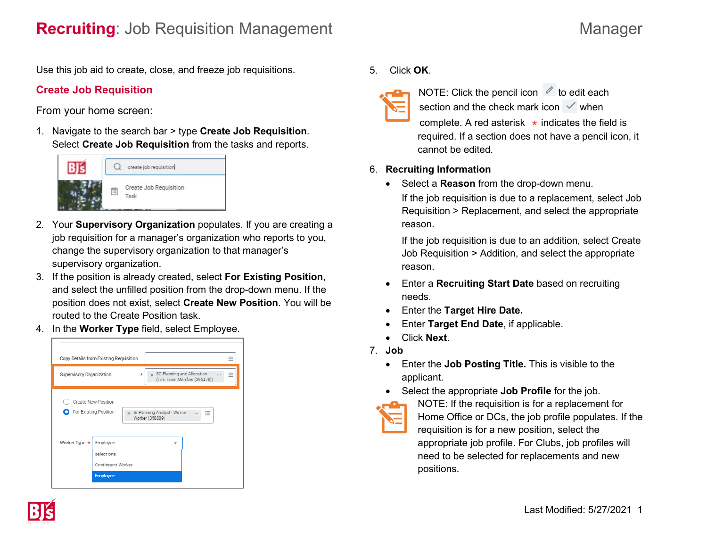Use this job aid to create, close, and freeze job requisitions.

# **Create Job Requisition**

From your home screen:

1. Navigate to the search bar > type **Create Job Requisition**. Select **Create Job Requisition** from the tasks and reports.



- 2. Your **Supervisory Organization** populates. If you are creating a job requisition for a manager's organization who reports to you, change the supervisory organization to that manager's supervisory organization.
- 3. If the position is already created, select **For Existing Position**, and select the unfilled position from the drop-down menu. If the position does not exist, select **Create New Position**. You will be routed to the Create Position task.
- 4. In the **Worker Type** field, select Employee.

| $\sim$<br>Copy Details from Existing Requisition<br>$\overline{\phantom{a}}$<br>$\overline{\phantom{a}}$ |                     |                                                                                                                                      |
|----------------------------------------------------------------------------------------------------------|---------------------|--------------------------------------------------------------------------------------------------------------------------------------|
| Supervisory Organization                                                                                 |                     | SC Planning and Allocation<br>$\sim$<br>$\mathbf{x}$<br>÷<br>$\cdots$<br>≔<br>$\overline{\phantom{a}}$<br>(Tim Team Member (296478)) |
| For Existing Position                                                                                    | Create New Position | x Sr Planning Analyst - Winnie<br>$\cdots$<br>$\cdots$<br>$\overline{a}$<br>$\sim$<br>Worker (358889)                                |
| Worker Type *                                                                                            | Employee            |                                                                                                                                      |

5. Click **OK**.



NOTE: Click the pencil icon  $\ell$  to edit each section and the check mark icon  $\vee$  when complete. A red asterisk  $\star$  indicates the field is required. If a section does not have a pencil icon, it cannot be edited.

### 6. **Recruiting Information**

• Select a **Reason** from the drop-down menu. If the job requisition is due to a replacement, select Job Requisition > Replacement, and select the appropriate reason.

If the job requisition is due to an addition, select Create Job Requisition > Addition, and select the appropriate reason.

- Enter a **Recruiting Start Date** based on recruiting needs.
- Enter the **Target Hire Date.**
- Enter **Target End Date**, if applicable.
- Click **Next**.
- 7. **Job**
	- Enter the **Job Posting Title.** This is visible to the applicant.
	- Select the appropriate **Job Profile** for the job.
- 

NOTE: If the requisition is for a replacement for Home Office or DCs, the job profile populates. If the requisition is for a new position, select the appropriate job profile. For Clubs, job profiles will need to be selected for replacements and new positions.

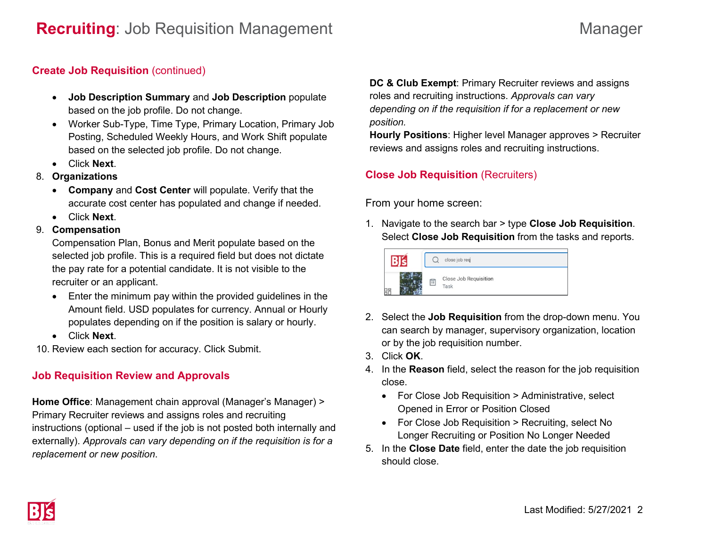### **Create Job Requisition** (continued)

- **Job Description Summary** and **Job Description** populate based on the job profile. Do not change.
- Worker Sub-Type, Time Type, Primary Location, Primary Job Posting, Scheduled Weekly Hours, and Work Shift populate based on the selected job profile. Do not change.
- Click **Next**.
- 8. **Organizations**
	- **Company** and **Cost Center** will populate. Verify that the accurate cost center has populated and change if needed.
	- Click **Next**.
- 9. **Compensation**

Compensation Plan, Bonus and Merit populate based on the selected job profile. This is a required field but does not dictate the pay rate for a potential candidate. It is not visible to the recruiter or an applicant.

- Enter the minimum pay within the provided guidelines in the Amount field. USD populates for currency. Annual or Hourly populates depending on if the position is salary or hourly.
- Click **Next**.

10. Review each section for accuracy. Click Submit.

# **Job Requisition Review and Approvals**

**Home Office**: Management chain approval (Manager's Manager) > Primary Recruiter reviews and assigns roles and recruiting instructions (optional – used if the job is not posted both internally and externally). *Approvals can vary depending on if the requisition is for a replacement or new position*.

**DC & Club Exempt**: Primary Recruiter reviews and assigns roles and recruiting instructions. *Approvals can vary depending on if the requisition if for a replacement or new position.*

**Hourly Positions**: Higher level Manager approves > Recruiter reviews and assigns roles and recruiting instructions.

# **Close Job Requisition** (Recruiters)

From your home screen:

1. Navigate to the search bar > type **Close Job Requisition**. Select **Close Job Requisition** from the tasks and reports.



- 2. Select the **Job Requisition** from the drop-down menu. You can search by manager, supervisory organization, location or by the job requisition number.
- 3. Click **OK**.
- 4. In the **Reason** field, select the reason for the job requisition close.
	- For Close Job Requisition > Administrative, select Opened in Error or Position Closed
	- For Close Job Requisition > Recruiting, select No Longer Recruiting or Position No Longer Needed
- 5. In the **Close Date** field, enter the date the job requisition should close.